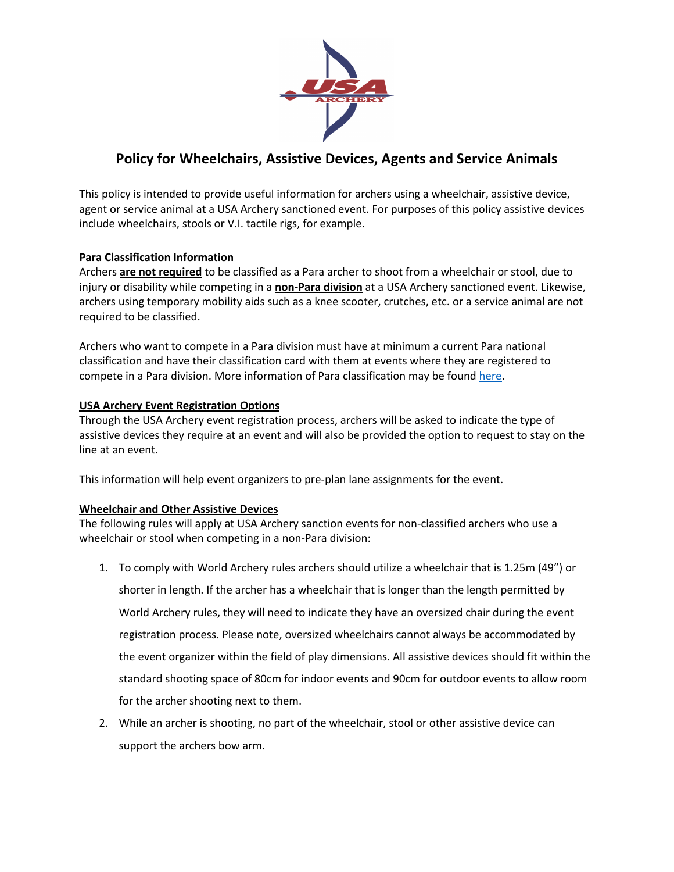

# **Policy for Wheelchairs, Assistive Devices, Agents and Service Animals**

This policy is intended to provide useful information for archers using a wheelchair, assistive device, agent or service animal at a USA Archery sanctioned event. For purposes of this policy assistive devices include wheelchairs, stools or V.I. tactile rigs, for example.

## **Para Classification Information**

Archers **are not required** to be classified as a Para archer to shoot from a wheelchair or stool, due to injury or disability while competing in a **non-Para division** at a USA Archery sanctioned event. Likewise, archers using temporary mobility aids such as a knee scooter, crutches, etc. or a service animal are not required to be classified.

Archers who want to compete in a Para division must have at minimum a current Para national classification and have their classification card with them at events where they are registered to compete in a Para division. More information of Para classification may be found here.

## **USA Archery Event Registration Options**

Through the USA Archery event registration process, archers will be asked to indicate the type of assistive devices they require at an event and will also be provided the option to request to stay on the line at an event.

This information will help event organizers to pre-plan lane assignments for the event.

### **Wheelchair and Other Assistive Devices**

The following rules will apply at USA Archery sanction events for non-classified archers who use a wheelchair or stool when competing in a non-Para division:

- 1. To comply with World Archery rules archers should utilize a wheelchair that is 1.25m (49") or shorter in length. If the archer has a wheelchair that is longer than the length permitted by World Archery rules, they will need to indicate they have an oversized chair during the event registration process. Please note, oversized wheelchairs cannot always be accommodated by the event organizer within the field of play dimensions. All assistive devices should fit within the standard shooting space of 80cm for indoor events and 90cm for outdoor events to allow room for the archer shooting next to them.
- 2. While an archer is shooting, no part of the wheelchair, stool or other assistive device can support the archers bow arm.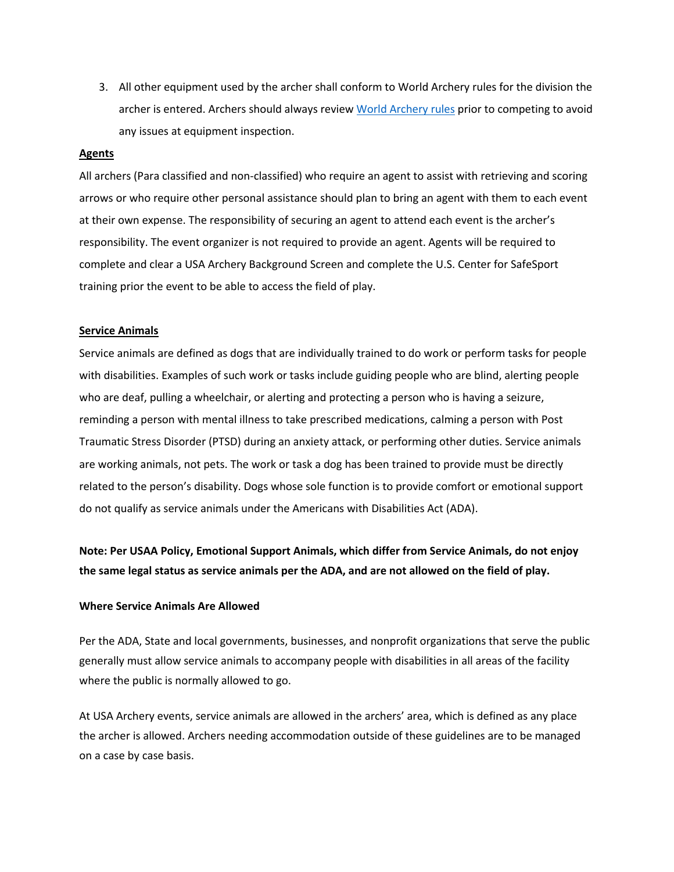3. All other equipment used by the archer shall conform to World Archery rules for the division the archer is entered. Archers should always review World Archery rules prior to competing to avoid any issues at equipment inspection.

#### **Agents**

All archers (Para classified and non-classified) who require an agent to assist with retrieving and scoring arrows or who require other personal assistance should plan to bring an agent with them to each event at their own expense. The responsibility of securing an agent to attend each event is the archer's responsibility. The event organizer is not required to provide an agent. Agents will be required to complete and clear a USA Archery Background Screen and complete the U.S. Center for SafeSport training prior the event to be able to access the field of play.

#### **Service Animals**

Service animals are defined as dogs that are individually trained to do work or perform tasks for people with disabilities. Examples of such work or tasks include guiding people who are blind, alerting people who are deaf, pulling a wheelchair, or alerting and protecting a person who is having a seizure, reminding a person with mental illness to take prescribed medications, calming a person with Post Traumatic Stress Disorder (PTSD) during an anxiety attack, or performing other duties. Service animals are working animals, not pets. The work or task a dog has been trained to provide must be directly related to the person's disability. Dogs whose sole function is to provide comfort or emotional support do not qualify as service animals under the Americans with Disabilities Act (ADA).

**Note: Per USAA Policy, Emotional Support Animals, which differ from Service Animals, do not enjoy the same legal status as service animals per the ADA, and are not allowed on the field of play.**

#### **Where Service Animals Are Allowed**

Per the ADA, State and local governments, businesses, and nonprofit organizations that serve the public generally must allow service animals to accompany people with disabilities in all areas of the facility where the public is normally allowed to go.

At USA Archery events, service animals are allowed in the archers' area, which is defined as any place the archer is allowed. Archers needing accommodation outside of these guidelines are to be managed on a case by case basis.